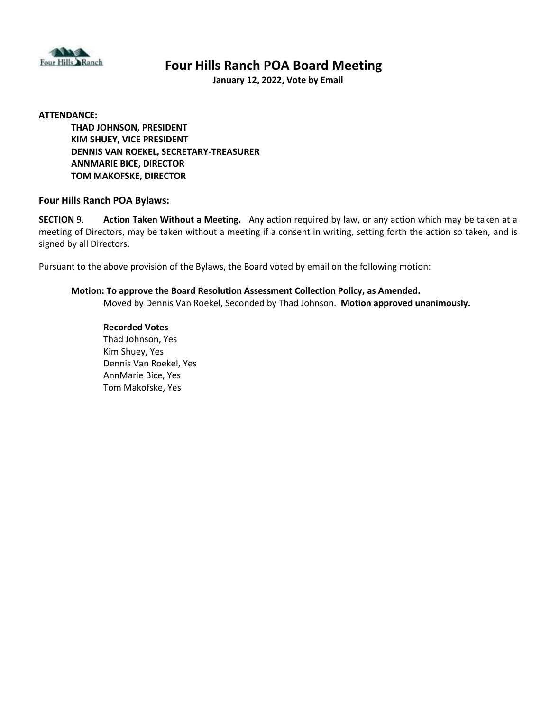

# **Four Hills Ranch POA Board Meeting**

**January 12, 2022, Vote by Email**

#### **ATTENDANCE:**

**THAD JOHNSON, PRESIDENT KIM SHUEY, VICE PRESIDENT DENNIS VAN ROEKEL, SECRETARY-TREASURER ANNMARIE BICE, DIRECTOR TOM MAKOFSKE, DIRECTOR**

### **Four Hills Ranch POA Bylaws:**

**SECTION** 9. **Action Taken Without a Meeting.** Any action required by law, or any action which may be taken at a meeting of Directors, may be taken without a meeting if a consent in writing, setting forth the action so taken, and is signed by all Directors.

Pursuant to the above provision of the Bylaws, the Board voted by email on the following motion:

### **Motion: To approve the Board Resolution Assessment Collection Policy, as Amended.** Moved by Dennis Van Roekel, Seconded by Thad Johnson. **Motion approved unanimously.**

#### **Recorded Votes**

Thad Johnson, Yes Kim Shuey, Yes Dennis Van Roekel, Yes AnnMarie Bice, Yes Tom Makofske, Yes